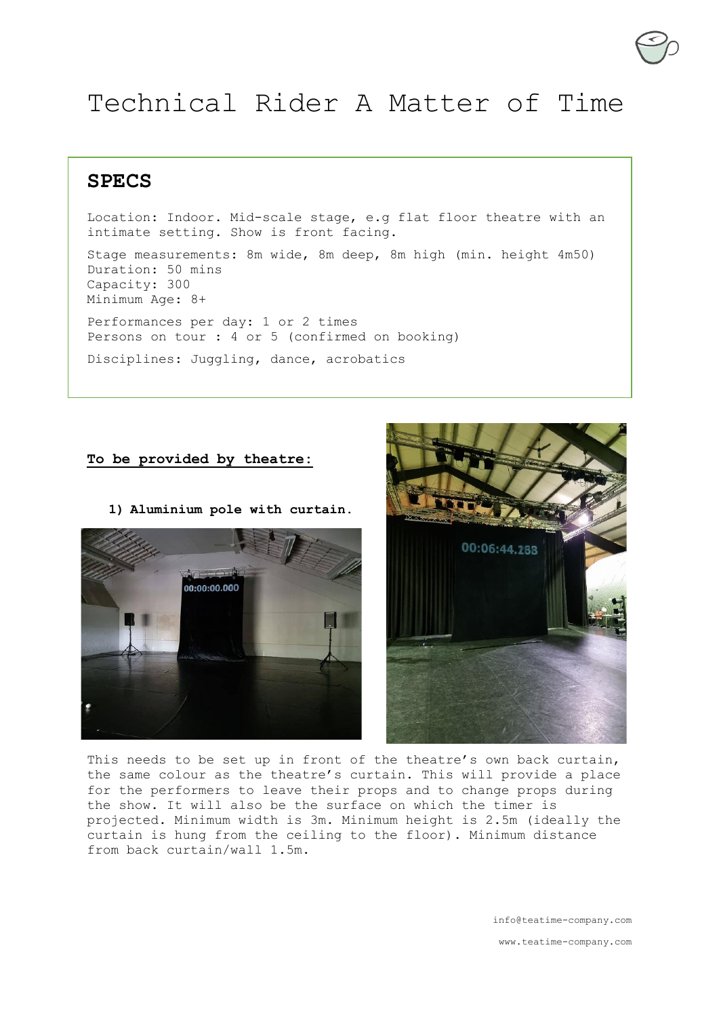# Technical Rider A Matter of Time

**SPECS**

Location: Indoor. Mid-scale stage, e.g flat floor theatre with an intimate setting. Show is front facing.

Stage measurements: 8m wide, 8m deep, 8m high (min. height 4m50) Duration: 50 mins Capacity: 300 Minimum Age: 8+ Performances per day: 1 or 2 times Persons on tour : 4 or 5 (confirmed on booking) Disciplines: Juggling, dance, acrobatics

### **To be provided by theatre:**



**1) Aluminium pole with curtain.**



This needs to be set up in front of the theatre's own back curtain, the same colour as the theatre's curtain. This will provide a place for the performers to leave their props and to change props during the show. It will also be the surface on which the timer is projected. Minimum width is 3m. Minimum height is 2.5m (ideally the curtain is hung from the ceiling to the floor). Minimum distance from back curtain/wall 1.5m.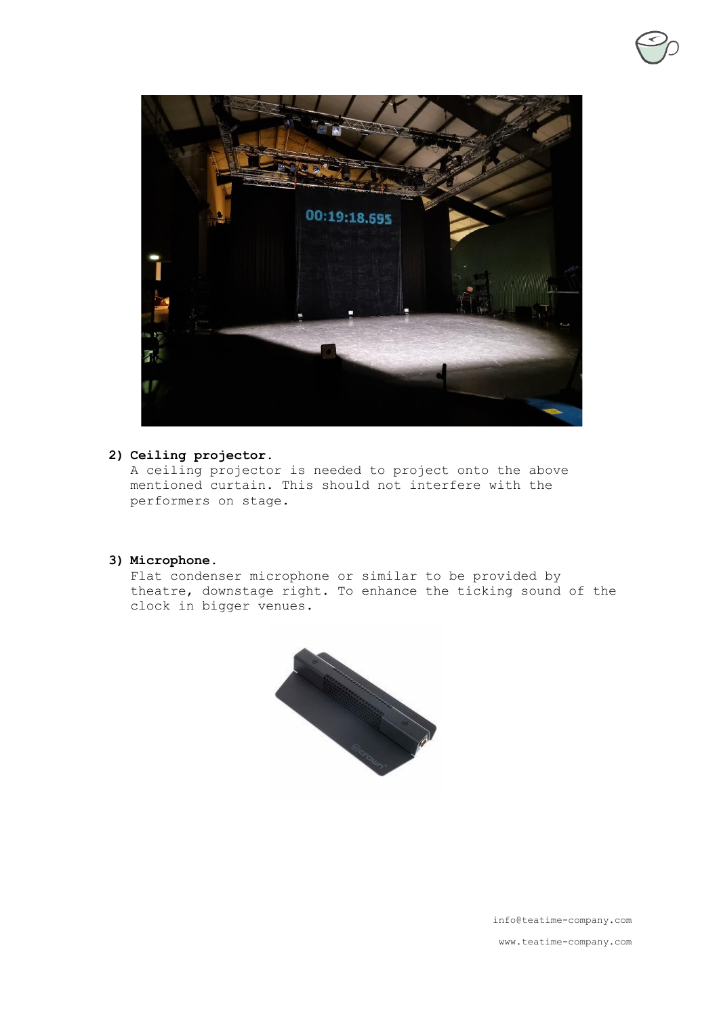

## **2) Ceiling projector.**

A ceiling projector is needed to project onto the above mentioned curtain. This should not interfere with the performers on stage.

## **3) Microphone.**

Flat condenser microphone or similar to be provided by theatre, downstage right. To enhance the ticking sound of the clock in bigger venues.



info@teatime-company.com www.teatime-company.com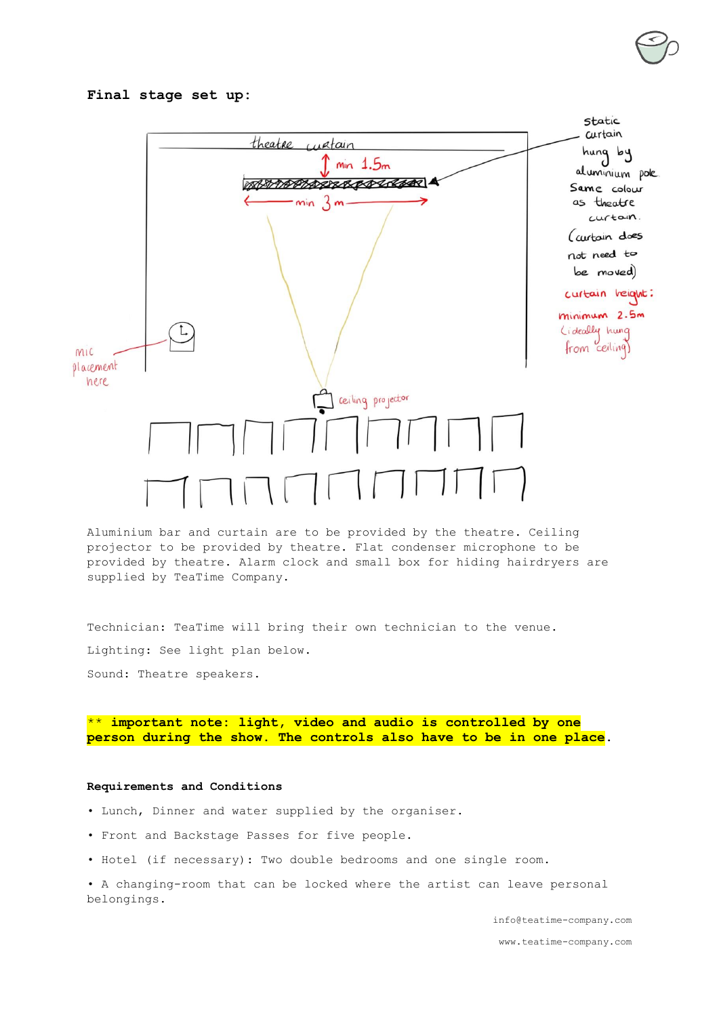#### **Final stage set up:**



Aluminium bar and curtain are to be provided by the theatre. Ceiling projector to be provided by theatre. Flat condenser microphone to be provided by theatre. Alarm clock and small box for hiding hairdryers are supplied by TeaTime Company.

Technician: TeaTime will bring their own technician to the venue. Lighting: See light plan below. Sound: Theatre speakers.

\*\* **important note: light, video and audio is controlled by one person during the show. The controls also have to be in one place.**

#### **Requirements and Conditions**

- Lunch, Dinner and water supplied by the organiser.
- Front and Backstage Passes for five people.
- Hotel (if necessary): Two double bedrooms and one single room.

• A changing-room that can be locked where the artist can leave personal belongings.

info@teatime-company.com

www.teatime-company.com